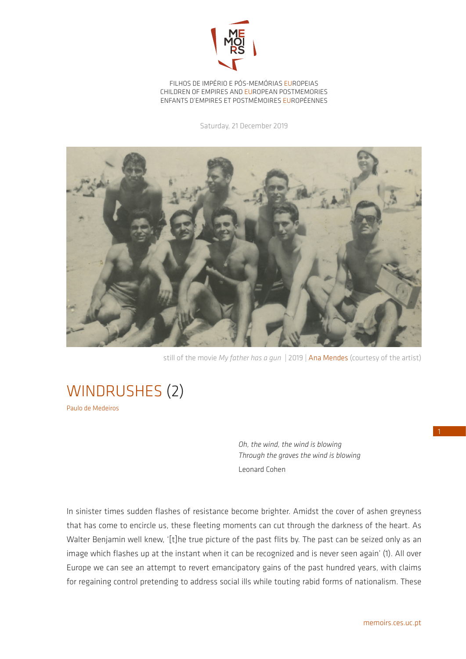

FILHOS DE IMPÉRIO E PÓS-MEMÓRIAS EUROPEIAS CHILDREN OF EMPIRES AND EUROPEAN POSTMEMORIES ENFANTS D'EMPIRES ET POSTMÉMOIRES EUROPÉENNES

Saturday, 21 December 2019



still of the movie *My father has a gun* | 2019 | Ana Mendes (courtesy of the artist)

WINDRUSHES (2) Paulo de Medeiros

> *Oh, the wind, the wind is blowing Through the graves the wind is blowing* Leonard Cohen

In sinister times sudden flashes of resistance become brighter. Amidst the cover of ashen greyness that has come to encircle us, these fleeting moments can cut through the darkness of the heart. As Walter Benjamin well knew, '[t]he true picture of the past flits by. The past can be seized only as an image which flashes up at the instant when it can be recognized and is never seen again' (1). All over Europe we can see an attempt to revert emancipatory gains of the past hundred years, with claims for regaining control pretending to address social ills while touting rabid forms of nationalism. These 1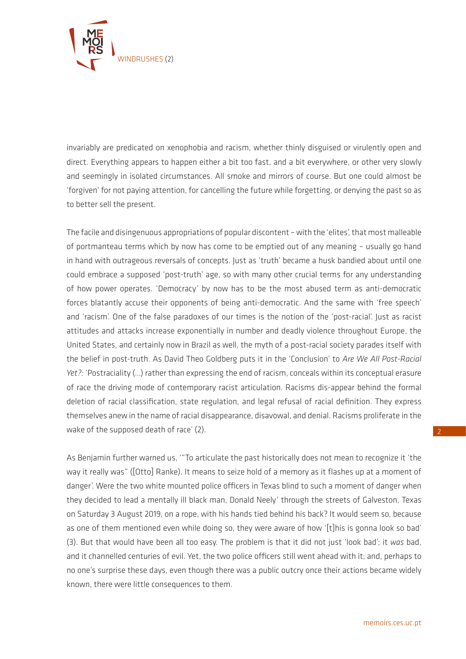

invariably are predicated on xenophobia and racism, whether thinly disguised or virulently open and direct. Everything appears to happen either a bit too fast, and a bit everywhere, or other very slowly and seemingly in isolated circumstances. All smoke and mirrors of course. But one could almost be 'forgiven' for not paying attention, for cancelling the future while forgetting, or denying the past so as to better sell the present.

The facile and disingenuous appropriations of popular discontent – with the 'elites', that most malleable of portmanteau terms which by now has come to be emptied out of any meaning – usually go hand in hand with outrageous reversals of concepts. Just as 'truth' became a husk bandied about until one could embrace a supposed 'post-truth' age, so with many other crucial terms for any understanding of how power operates. 'Democracy' by now has to be the most abused term as anti-democratic forces blatantly accuse their opponents of being anti-democratic. And the same with 'free speech' and 'racism'. One of the false paradoxes of our times is the notion of the 'post-racial'. Just as racist attitudes and attacks increase exponentially in number and deadly violence throughout Europe, the United States, and certainly now in Brazil as well, the myth of a post-racial society parades itself with the belief in post-truth. As David Theo Goldberg puts it in the 'Conclusion' to *Are We All Post-Racial Yet?:* 'Postraciality (…) rather than expressing the end of racism, conceals within its conceptual erasure of race the driving mode of contemporary racist articulation. Racisms dis-appear behind the formal deletion of racial classification, state regulation, and legal refusal of racial definition. They express themselves anew in the name of racial disappearance, disavowal, and denial. Racisms proliferate in the wake of the supposed death of race' (2).

As Benjamin further warned us, '"To articulate the past historically does not mean to recognize it 'the way it really was" ([Otto] Ranke). It means to seize hold of a memory as it flashes up at a moment of danger'. Were the two white mounted police officers in Texas blind to such a moment of danger when they decided to lead a mentally ill black man, Donald Neely' through the streets of Galveston, Texas on Saturday 3 August 2019, on a rope, with his hands tied behind his back? It would seem so, because as one of them mentioned even while doing so, they were aware of how '[t]his is gonna look so bad' (3). But that would have been all too easy. The problem is that it did not just 'look bad'; it *was* bad, and it channelled centuries of evil. Yet, the two police officers still went ahead with it; and, perhaps to no one's surprise these days, even though there was a public outcry once their actions became widely known, there were little consequences to them.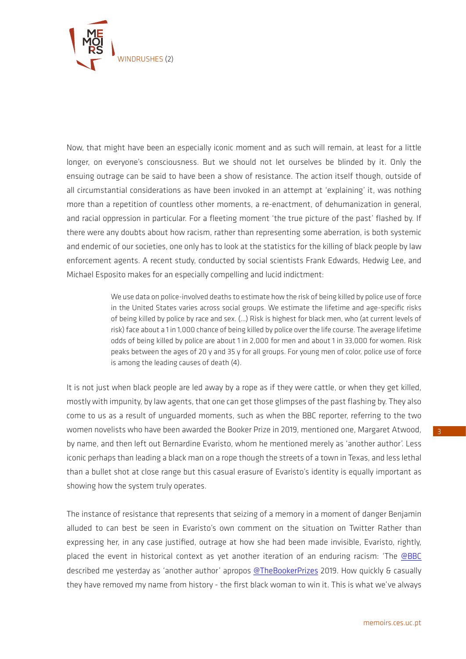

Now, that might have been an especially iconic moment and as such will remain, at least for a little longer, on everyone's consciousness. But we should not let ourselves be blinded by it. Only the ensuing outrage can be said to have been a show of resistance. The action itself though, outside of all circumstantial considerations as have been invoked in an attempt at 'explaining' it, was nothing more than a repetition of countless other moments, a re-enactment, of dehumanization in general, and racial oppression in particular. For a fleeting moment 'the true picture of the past' flashed by. If there were any doubts about how racism, rather than representing some aberration, is both systemic and endemic of our societies, one only has to look at the statistics for the killing of black people by law enforcement agents. A recent study, conducted by social scientists Frank Edwards, Hedwig Lee, and Michael Esposito makes for an especially compelling and lucid indictment:

> We use data on police-involved deaths to estimate how the risk of being killed by police use of force in the United States varies across social groups. We estimate the lifetime and age-specific risks of being killed by police by race and sex. (…) Risk is highest for black men, who (at current levels of risk) face about a 1 in 1,000 chance of being killed by police over the life course. The average lifetime odds of being killed by police are about 1 in 2,000 for men and about 1 in 33,000 for women. Risk peaks between the ages of 20 y and 35 y for all groups. For young men of color, police use of force is among the leading causes of death (4).

It is not just when black people are led away by a rope as if they were cattle, or when they get killed, mostly with impunity, by law agents, that one can get those glimpses of the past flashing by. They also come to us as a result of unguarded moments, such as when the BBC reporter, referring to the two women novelists who have been awarded the Booker Prize in 2019, mentioned one, Margaret Atwood, by name, and then left out Bernardine Evaristo, whom he mentioned merely as 'another author'. Less iconic perhaps than leading a black man on a rope though the streets of a town in Texas, and less lethal than a bullet shot at close range but this casual erasure of Evaristo's identity is equally important as showing how the system truly operates.

The instance of resistance that represents that seizing of a memory in a moment of danger Benjamin alluded to can best be seen in Evaristo's own comment on the situation on Twitter Rather than expressing her, in any case justified, outrage at how she had been made invisible, Evaristo, rightly, placed the event in historical context as yet another iteration of an enduring racism: 'The [@BBC](https://twitter.com/BBC) described me yesterday as 'another author' apropos [@TheBookerPrizes](https://twitter.com/TheBookerPrizes) 2019. How quickly & casually they have removed my name from history - the first black woman to win it. This is what we've always